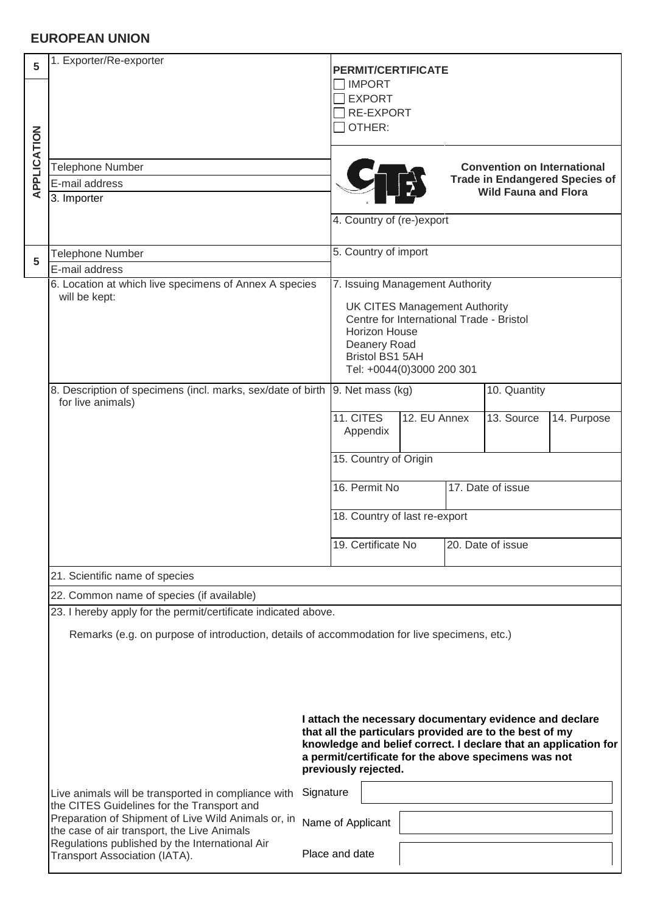## **EUROPEAN UNION**

| 5<br>APPLICATION                                               | 1. Exporter/Re-exporter                                                                                                                                                                                                                                               | <b>PERMIT/CERTIFICATE</b><br><b>IMPORT</b><br><b>EXPORT</b><br><b>RE-EXPORT</b><br>OTHER:                                                                                                                   |  |
|----------------------------------------------------------------|-----------------------------------------------------------------------------------------------------------------------------------------------------------------------------------------------------------------------------------------------------------------------|-------------------------------------------------------------------------------------------------------------------------------------------------------------------------------------------------------------|--|
|                                                                | <b>Telephone Number</b><br>E-mail address<br>3. Importer                                                                                                                                                                                                              | <b>Convention on International</b><br><b>Trade in Endangered Species of</b><br><b>Wild Fauna and Flora</b>                                                                                                  |  |
|                                                                |                                                                                                                                                                                                                                                                       | 4. Country of (re-)export                                                                                                                                                                                   |  |
| 5                                                              | Telephone Number<br>E-mail address                                                                                                                                                                                                                                    | 5. Country of import                                                                                                                                                                                        |  |
|                                                                | 6. Location at which live specimens of Annex A species<br>will be kept:                                                                                                                                                                                               | 7. Issuing Management Authority<br><b>UK CITES Management Authority</b><br>Centre for International Trade - Bristol<br>Horizon House<br>Deanery Road<br><b>Bristol BS1 5AH</b><br>Tel: +0044(0)3000 200 301 |  |
|                                                                | 8. Description of specimens (incl. marks, sex/date of birth  9. Net mass (kg)<br>for live animals)                                                                                                                                                                    | 10. Quantity                                                                                                                                                                                                |  |
|                                                                |                                                                                                                                                                                                                                                                       | 11. CITES<br>12. EU Annex<br>13. Source<br>14. Purpose<br>Appendix                                                                                                                                          |  |
|                                                                |                                                                                                                                                                                                                                                                       | 15. Country of Origin                                                                                                                                                                                       |  |
|                                                                |                                                                                                                                                                                                                                                                       | 16. Permit No<br>17. Date of issue                                                                                                                                                                          |  |
|                                                                |                                                                                                                                                                                                                                                                       | 18. Country of last re-export                                                                                                                                                                               |  |
|                                                                |                                                                                                                                                                                                                                                                       | 19. Certificate No<br>20. Date of issue                                                                                                                                                                     |  |
| 21. Scientific name of species                                 |                                                                                                                                                                                                                                                                       |                                                                                                                                                                                                             |  |
| 22. Common name of species (if available)                      |                                                                                                                                                                                                                                                                       |                                                                                                                                                                                                             |  |
| 23. I hereby apply for the permit/certificate indicated above. |                                                                                                                                                                                                                                                                       |                                                                                                                                                                                                             |  |
|                                                                | Remarks (e.g. on purpose of introduction, details of accommodation for live specimens, etc.)                                                                                                                                                                          |                                                                                                                                                                                                             |  |
|                                                                | I attach the necessary documentary evidence and declare<br>that all the particulars provided are to the best of my<br>knowledge and belief correct. I declare that an application for<br>a permit/certificate for the above specimens was not<br>previously rejected. |                                                                                                                                                                                                             |  |
|                                                                | Live animals will be transported in compliance with<br>the CITES Guidelines for the Transport and<br>Preparation of Shipment of Live Wild Animals or, in<br>the case of air transport, the Live Animals                                                               | Signature                                                                                                                                                                                                   |  |
|                                                                |                                                                                                                                                                                                                                                                       | Name of Applicant                                                                                                                                                                                           |  |
|                                                                | Regulations published by the International Air<br>Transport Association (IATA).                                                                                                                                                                                       | Place and date                                                                                                                                                                                              |  |